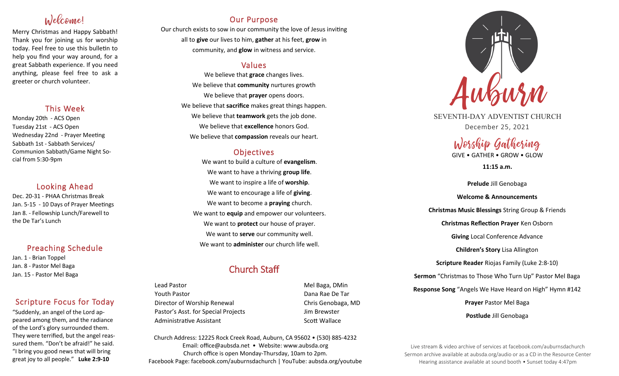# Welcome!

Merry Christmas and Happy Sabbath! Thank you for joining us for worship today. Feel free to use this bulletin to help you find your way around, for a great Sabbath experience. If you need anything, please feel free to ask a greeter or church volunteer.

## This Week

Monday 20th - ACS Open Tuesday 21st - ACS Open Wednesday 22nd - Prayer Meeting Sabbath 1st - Sabbath Services/ Communion Sabbath/Game Night Social from 5:30-9pm

## Looking Ahead

Dec. 20-31 - PHAA Christmas Break Jan. 5-15 - 10 Days of Prayer Meetings Jan 8. - Fellowship Lunch/Farewell to the De Tar's Lunch

## Preaching Schedule

Jan. 1 - Brian Toppel Jan. 8 - Pastor Mel Baga Jan. 15 - Pastor Mel Baga

# Scripture Focus for Today

"Suddenly, an angel of the Lord appeared among them, and the radiance of the Lord's glory surrounded them. They were terrified, but the angel reassured them. "Don't be afraid!" he said. "I bring you good news that will bring great joy to all people." **Luke 2:9-10**

# Our Purpose

Our church exists to sow in our community the love of Jesus inviting all to **give** our lives to him, **gather** at his feet, **grow** in community, and **glow** in witness and service.

# Values

We believe that **grace** changes lives. We believe that **community** nurtures growth We believe that **prayer** opens doors. We believe that **sacrifice** makes great things happen. We believe that **teamwork** gets the job done. We believe that **excellence** honors God. We believe that **compassion** reveals our heart.

# **Objectives**

We want to build a culture of **evangelism**. We want to have a thriving **group life**. We want to inspire a life of **worship**. We want to encourage a life of **giving**. We want to become a **praying** church. We want to **equip** and empower our volunteers. We want to **protect** our house of prayer. We want to **serve** our community well. We want to **administer** our church life well.

# Church Staff

Lead Pastor **Mel Baga, DMin** Youth Pastor Dana Rae De Tar Director of Worship Renewal **Chris Genobaga**, MD Pastor's Asst. for Special Projects Jim Brewster Administrative Assistant National Controllery Scott Wallace

Church Address: 12225 Rock Creek Road, Auburn, CA 95602 • (530) 885-4232 Email: office@aubsda.net • Website: www.aubsda.org Church office is open Monday-Thursday, 10am to 2pm. Facebook Page: facebook.com/auburnsdachurch | YouTube: aubsda.org/youtube



SEVENTH-DAY ADVENTIST CHURCH December 25, 2021

# Worship Gathering

GIVE • GATHER • GROW • GLOW

**11:15 a.m.**

**Prelude** Jill Genobaga **Welcome & Announcements Christmas Music Blessings** String Group & Friends **Christmas Reflection Prayer** Ken Osborn **Giving** Local Conference Advance **Children's Story** Lisa Allington **Scripture Reader** Riojas Family (Luke 2:8-10) **Sermon** "Christmas to Those Who Turn Up" Pastor Mel Baga **Response Song** "Angels We Have Heard on High" Hymn #142 **Prayer** Pastor Mel Baga **Postlude** Jill Genobaga

Live stream & video archive of services at facebook.com/auburnsdachurch Sermon archive available at aubsda.org/audio or as a CD in the Resource Center Hearing assistance available at sound booth • Sunset today 4:47pm